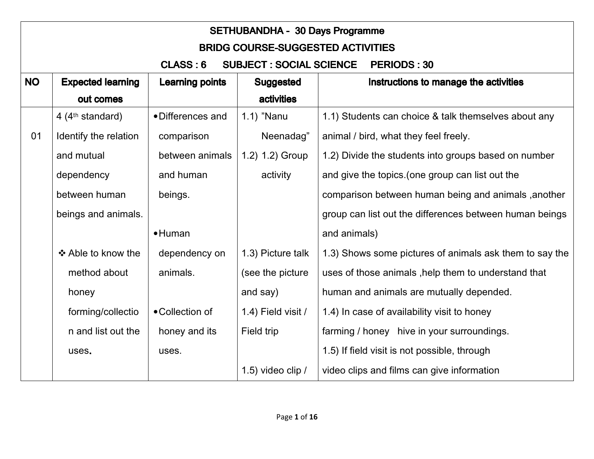|           | <b>SETHUBANDHA - 30 Days Programme</b>                            |                        |                     |                                                         |  |  |
|-----------|-------------------------------------------------------------------|------------------------|---------------------|---------------------------------------------------------|--|--|
|           | <b>BRIDG COURSE-SUGGESTED ACTIVITIES</b>                          |                        |                     |                                                         |  |  |
|           | <b>SUBJECT : SOCIAL SCIENCE</b><br>CLASS: 6<br><b>PERIODS: 30</b> |                        |                     |                                                         |  |  |
| <b>NO</b> | <b>Expected learning</b>                                          | <b>Learning points</b> | <b>Suggested</b>    | Instructions to manage the activities                   |  |  |
|           | out comes                                                         |                        | <b>activities</b>   |                                                         |  |  |
|           | 4 ( $4th$ standard)                                               | • Differences and      | $1.1$ ) "Nanu       | 1.1) Students can choice & talk themselves about any    |  |  |
| 01        | Identify the relation                                             | comparison             | Neenadag"           | animal / bird, what they feel freely.                   |  |  |
|           | and mutual                                                        | between animals        | 1.2) 1.2) Group     | 1.2) Divide the students into groups based on number    |  |  |
|           | dependency                                                        | and human              | activity            | and give the topics. (one group can list out the        |  |  |
|           | between human                                                     | beings.                |                     | comparison between human being and animals, another     |  |  |
|           | beings and animals.                                               |                        |                     | group can list out the differences between human beings |  |  |
|           |                                                                   | $\bullet$ Human        |                     | and animals)                                            |  |  |
|           | ❖ Able to know the                                                | dependency on          | 1.3) Picture talk   | 1.3) Shows some pictures of animals ask them to say the |  |  |
|           | method about                                                      | animals.               | (see the picture    | uses of those animals, help them to understand that     |  |  |
|           | honey                                                             |                        | and say)            | human and animals are mutually depended.                |  |  |
|           | forming/collectio                                                 | • Collection of        | 1.4) Field visit /  | 1.4) In case of availability visit to honey             |  |  |
|           | n and list out the                                                | honey and its          | Field trip          | farming / honey hive in your surroundings.              |  |  |
|           | uses.                                                             | uses.                  |                     | 1.5) If field visit is not possible, through            |  |  |
|           |                                                                   |                        | 1.5) video clip $/$ | video clips and films can give information              |  |  |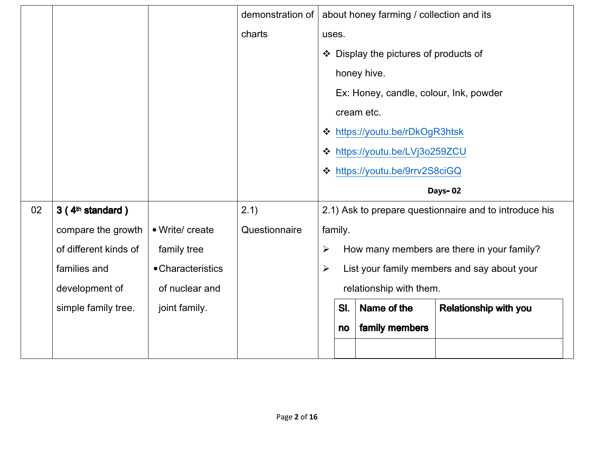|    |                              |                   | demonstration of |                       |         | about honey farming / collection and its |                                                        |
|----|------------------------------|-------------------|------------------|-----------------------|---------|------------------------------------------|--------------------------------------------------------|
|    |                              |                   | charts           | uses.                 |         |                                          |                                                        |
|    |                              |                   |                  |                       |         | ❖ Display the pictures of products of    |                                                        |
|    |                              |                   |                  |                       |         | honey hive.                              |                                                        |
|    |                              |                   |                  |                       |         | Ex: Honey, candle, colour, Ink, powder   |                                                        |
|    |                              |                   |                  |                       |         | cream etc.                               |                                                        |
|    |                              |                   |                  |                       |         | ❖ https://youtu.be/rDkOgR3htsk           |                                                        |
|    |                              |                   |                  |                       |         | ❖ https://youtu.be/LVj3o259ZCU           |                                                        |
|    |                              |                   |                  |                       |         | ❖ https://youtu.be/9rrv2S8ciGQ           |                                                        |
|    |                              |                   |                  |                       |         |                                          |                                                        |
|    |                              |                   |                  |                       |         |                                          | Days-02                                                |
| 02 | 3 (4 <sup>th</sup> standard) |                   | 2.1)             |                       |         |                                          | 2.1) Ask to prepare questionnaire and to introduce his |
|    | compare the growth           | • Write/ create   | Questionnaire    |                       | family. |                                          |                                                        |
|    | of different kinds of        | family tree       |                  | $\blacktriangleright$ |         |                                          | How many members are there in your family?             |
|    | families and                 | • Characteristics |                  | $\blacktriangleright$ |         |                                          | List your family members and say about your            |
|    | development of               | of nuclear and    |                  |                       |         | relationship with them.                  |                                                        |
|    | simple family tree.          | joint family.     |                  |                       | SI.     | Name of the                              | <b>Relationship with you</b>                           |
|    |                              |                   |                  |                       | no      | family members                           |                                                        |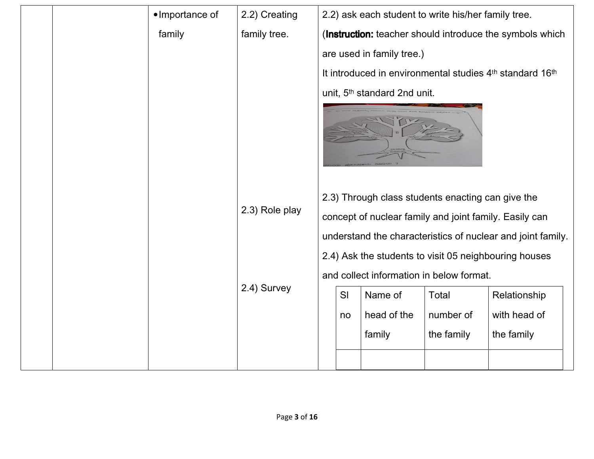|  | •Importance of | 2.2) Creating  |    | 2.2) ask each student to write his/her family tree.    |            |                                                             |
|--|----------------|----------------|----|--------------------------------------------------------|------------|-------------------------------------------------------------|
|  | family         | family tree.   |    |                                                        |            | (Instruction: teacher should introduce the symbols which    |
|  |                |                |    | are used in family tree.)                              |            |                                                             |
|  |                |                |    |                                                        |            | It introduced in environmental studies 4th standard 16th    |
|  |                |                |    | unit, 5 <sup>th</sup> standard 2nd unit.               |            |                                                             |
|  |                |                |    |                                                        |            |                                                             |
|  |                |                |    | 2.3) Through class students enacting can give the      |            |                                                             |
|  |                | 2.3) Role play |    | concept of nuclear family and joint family. Easily can |            |                                                             |
|  |                |                |    |                                                        |            | understand the characteristics of nuclear and joint family. |
|  |                |                |    |                                                        |            | 2.4) Ask the students to visit 05 neighbouring houses       |
|  |                |                |    | and collect information in below format.               |            |                                                             |
|  |                | 2.4) Survey    | SI | Name of                                                | Total      | Relationship                                                |
|  |                |                | no | head of the                                            | number of  | with head of                                                |
|  |                |                |    | family                                                 | the family | the family                                                  |
|  |                |                |    |                                                        |            |                                                             |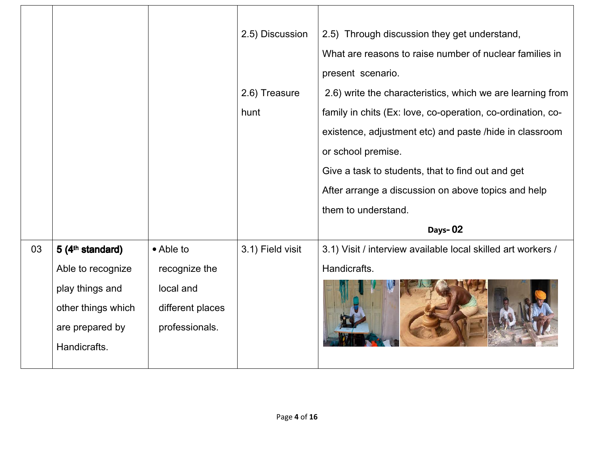|    |                              |                  | 2.5) Discussion  | 2.5) Through discussion they get understand,                 |
|----|------------------------------|------------------|------------------|--------------------------------------------------------------|
|    |                              |                  |                  | What are reasons to raise number of nuclear families in      |
|    |                              |                  |                  | present scenario.                                            |
|    |                              |                  | 2.6) Treasure    | 2.6) write the characteristics, which we are learning from   |
|    |                              |                  | hunt             | family in chits (Ex: love, co-operation, co-ordination, co-  |
|    |                              |                  |                  | existence, adjustment etc) and paste /hide in classroom      |
|    |                              |                  |                  | or school premise.                                           |
|    |                              |                  |                  | Give a task to students, that to find out and get            |
|    |                              |                  |                  | After arrange a discussion on above topics and help          |
|    |                              |                  |                  | them to understand.                                          |
|    |                              |                  |                  | Days-02                                                      |
| 03 | 5 (4 <sup>th</sup> standard) | • Able to        | 3.1) Field visit | 3.1) Visit / interview available local skilled art workers / |
|    | Able to recognize            | recognize the    |                  | Handicrafts.                                                 |
|    | play things and              | local and        |                  |                                                              |
|    | other things which           | different places |                  |                                                              |
|    | are prepared by              | professionals.   |                  |                                                              |
|    | Handicrafts.                 |                  |                  |                                                              |
|    |                              |                  |                  |                                                              |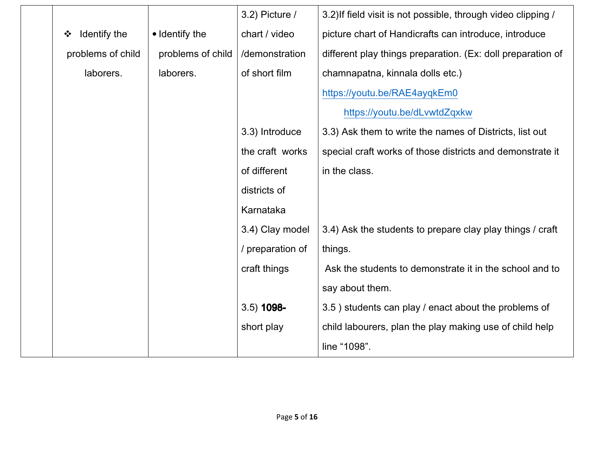|                   |                   | 3.2) Picture /   | 3.2) If field visit is not possible, through video clipping / |
|-------------------|-------------------|------------------|---------------------------------------------------------------|
| Identify the<br>❖ | • Identify the    | chart / video    | picture chart of Handicrafts can introduce, introduce         |
| problems of child | problems of child | /demonstration   | different play things preparation. (Ex: doll preparation of   |
| laborers.         | laborers.         | of short film    | chamnapatna, kinnala dolls etc.)                              |
|                   |                   |                  | https://youtu.be/RAE4ayqkEm0                                  |
|                   |                   |                  | https://youtu.be/dLvwtdZqxkw                                  |
|                   |                   | 3.3) Introduce   | 3.3) Ask them to write the names of Districts, list out       |
|                   |                   | the craft works  | special craft works of those districts and demonstrate it     |
|                   |                   | of different     | in the class.                                                 |
|                   |                   | districts of     |                                                               |
|                   |                   | Karnataka        |                                                               |
|                   |                   | 3.4) Clay model  | 3.4) Ask the students to prepare clay play things / craft     |
|                   |                   | / preparation of | things.                                                       |
|                   |                   | craft things     | Ask the students to demonstrate it in the school and to       |
|                   |                   |                  | say about them.                                               |
|                   |                   | $3.5)$ 1098-     | 3.5) students can play / enact about the problems of          |
|                   |                   | short play       | child labourers, plan the play making use of child help       |
|                   |                   |                  | line "1098".                                                  |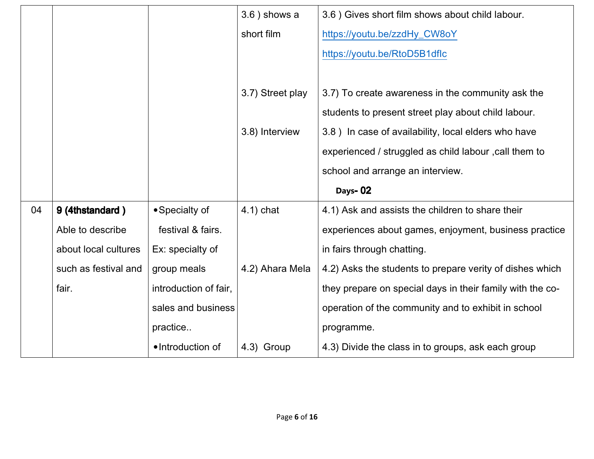|    |                      |                       | $3.6$ ) shows a  | 3.6 ) Gives short film shows about child labour.          |
|----|----------------------|-----------------------|------------------|-----------------------------------------------------------|
|    |                      |                       | short film       | https://youtu.be/zzdHy_CW8oY                              |
|    |                      |                       |                  | https://youtu.be/RtoD5B1dflc                              |
|    |                      |                       |                  |                                                           |
|    |                      |                       | 3.7) Street play | 3.7) To create awareness in the community ask the         |
|    |                      |                       |                  | students to present street play about child labour.       |
|    |                      |                       | 3.8) Interview   | 3.8) In case of availability, local elders who have       |
|    |                      |                       |                  | experienced / struggled as child labour , call them to    |
|    |                      |                       |                  | school and arrange an interview.                          |
|    |                      |                       |                  | Days-02                                                   |
| 04 | 9 (4thstandard)      | • Specialty of        | $4.1$ ) chat     | 4.1) Ask and assists the children to share their          |
|    | Able to describe     | festival & fairs.     |                  | experiences about games, enjoyment, business practice     |
|    | about local cultures | Ex: specialty of      |                  | in fairs through chatting.                                |
|    | such as festival and | group meals           | 4.2) Ahara Mela  | 4.2) Asks the students to prepare verity of dishes which  |
|    | fair.                | introduction of fair, |                  | they prepare on special days in their family with the co- |
|    |                      | sales and business    |                  | operation of the community and to exhibit in school       |
|    |                      | practice              |                  | programme.                                                |
|    |                      | •Introduction of      | 4.3) Group       | 4.3) Divide the class in to groups, ask each group        |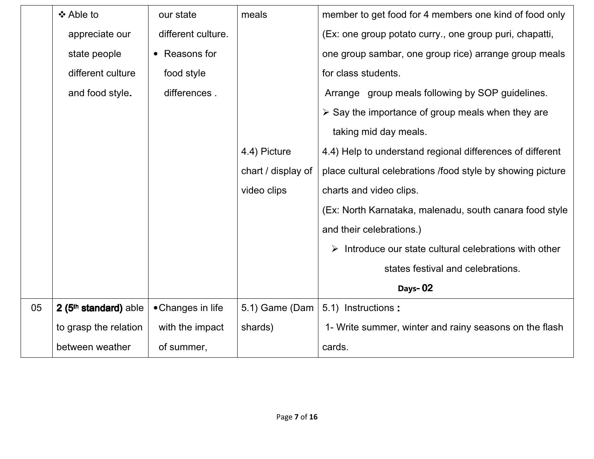|    | ❖ Able to                         | our state          | meals              | member to get food for 4 members one kind of food only           |
|----|-----------------------------------|--------------------|--------------------|------------------------------------------------------------------|
|    | appreciate our                    | different culture. |                    | (Ex: one group potato curry., one group puri, chapatti,          |
|    | state people                      | • Reasons for      |                    | one group sambar, one group rice) arrange group meals            |
|    | different culture                 | food style         |                    | for class students.                                              |
|    | and food style.                   | differences.       |                    | Arrange group meals following by SOP guidelines.                 |
|    |                                   |                    |                    | $\triangleright$ Say the importance of group meals when they are |
|    |                                   |                    |                    | taking mid day meals.                                            |
|    |                                   |                    | 4.4) Picture       | 4.4) Help to understand regional differences of different        |
|    |                                   |                    | chart / display of | place cultural celebrations /food style by showing picture       |
|    |                                   |                    | video clips        | charts and video clips.                                          |
|    |                                   |                    |                    | (Ex: North Karnataka, malenadu, south canara food style          |
|    |                                   |                    |                    | and their celebrations.)                                         |
|    |                                   |                    |                    | Introduce our state cultural celebrations with other             |
|    |                                   |                    |                    | states festival and celebrations.                                |
|    |                                   |                    |                    | Days-02                                                          |
| 05 | 2 (5 <sup>th</sup> standard) able | • Changes in life  | 5.1) Game (Dam $ $ | 5.1) Instructions:                                               |
|    | to grasp the relation             | with the impact    | shards)            | 1- Write summer, winter and rainy seasons on the flash           |
|    | between weather                   | of summer,         |                    | cards.                                                           |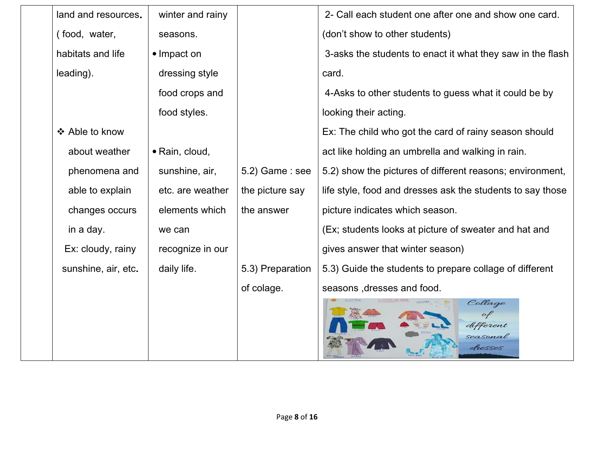| land and resources. | winter and rainy |                  | 2- Call each student one after one and show one card.      |
|---------------------|------------------|------------------|------------------------------------------------------------|
| (food, water,       | seasons.         |                  | (don't show to other students)                             |
| habitats and life   | • Impact on      |                  | 3-asks the students to enact it what they saw in the flash |
| leading).           | dressing style   |                  | card.                                                      |
|                     | food crops and   |                  | 4-Asks to other students to guess what it could be by      |
|                     | food styles.     |                  | looking their acting.                                      |
| ❖ Able to know      |                  |                  | Ex: The child who got the card of rainy season should      |
| about weather       | · Rain, cloud,   |                  | act like holding an umbrella and walking in rain.          |
| phenomena and       | sunshine, air,   | 5.2) Game: see   | 5.2) show the pictures of different reasons; environment,  |
| able to explain     | etc. are weather | the picture say  | life style, food and dresses ask the students to say those |
| changes occurs      | elements which   | the answer       | picture indicates which season.                            |
| in a day.           | we can           |                  | (Ex; students looks at picture of sweater and hat and      |
| Ex: cloudy, rainy   | recognize in our |                  | gives answer that winter season)                           |
| sunshine, air, etc. | daily life.      | 5.3) Preparation | 5.3) Guide the students to prepare collage of different    |
|                     |                  | of colage.       | seasons, dresses and food.                                 |
|                     |                  |                  | Collage<br>different                                       |
|                     |                  |                  | seasonal<br>fresses                                        |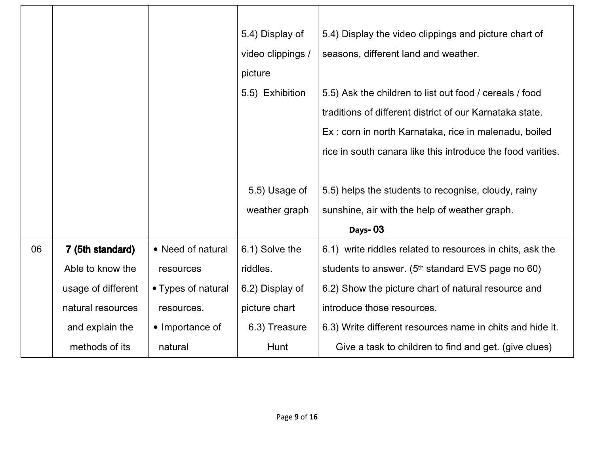|    |                    |                    | 5.4) Display of   | 5.4) Display the video clippings and picture chart of         |
|----|--------------------|--------------------|-------------------|---------------------------------------------------------------|
|    |                    |                    | video clippings / | seasons, different land and weather.                          |
|    |                    |                    | picture           |                                                               |
|    |                    |                    | 5.5) Exhibition   | 5.5) Ask the children to list out food / cereals / food       |
|    |                    |                    |                   | traditions of different district of our Karnataka state.      |
|    |                    |                    |                   | Ex: corn in north Karnataka, rice in malenadu, boiled         |
|    |                    |                    |                   | rice in south canara like this introduce the food varities.   |
|    |                    |                    |                   |                                                               |
|    |                    |                    | 5.5) Usage of     | 5.5) helps the students to recognise, cloudy, rainy           |
|    |                    |                    | weather graph     | sunshine, air with the help of weather graph.                 |
|    |                    |                    |                   | Days-03                                                       |
| 06 | 7 (5th standard)   | • Need of natural  | 6.1) Solve the    | 6.1) write riddles related to resources in chits, ask the     |
|    | Able to know the   | resources          | riddles.          | students to answer. (5 <sup>th</sup> standard EVS page no 60) |
|    | usage of different | • Types of natural | 6.2) Display of   | 6.2) Show the picture chart of natural resource and           |
|    | natural resources  | resources.         | picture chart     | introduce those resources.                                    |
|    | and explain the    | • Importance of    | 6.3) Treasure     | 6.3) Write different resources name in chits and hide it.     |
|    | methods of its     | natural            | Hunt              | Give a task to children to find and get. (give clues)         |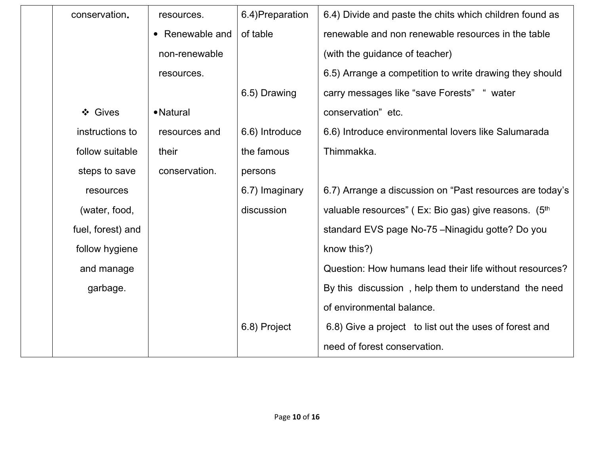| conservation.     | resources.      | 6.4) Preparation | 6.4) Divide and paste the chits which children found as  |
|-------------------|-----------------|------------------|----------------------------------------------------------|
|                   | • Renewable and | of table         | renewable and non renewable resources in the table       |
|                   | non-renewable   |                  | (with the guidance of teacher)                           |
|                   | resources.      |                  | 6.5) Arrange a competition to write drawing they should  |
|                   |                 | 6.5) Drawing     | carry messages like "save Forests" " water               |
| ❖ Gives           | • Natural       |                  | conservation" etc.                                       |
| instructions to   | resources and   | 6.6) Introduce   | 6.6) Introduce environmental lovers like Salumarada      |
| follow suitable   | their           | the famous       | Thimmakka.                                               |
| steps to save     | conservation.   | persons          |                                                          |
| resources         |                 | 6.7) Imaginary   | 6.7) Arrange a discussion on "Past resources are today's |
| (water, food,     |                 | discussion       | valuable resources" (Ex: Bio gas) give reasons. (5th     |
| fuel, forest) and |                 |                  | standard EVS page No-75 - Ninagidu gotte? Do you         |
| follow hygiene    |                 |                  | know this?)                                              |
| and manage        |                 |                  | Question: How humans lead their life without resources?  |
| garbage.          |                 |                  | By this discussion, help them to understand the need     |
|                   |                 |                  | of environmental balance.                                |
|                   |                 | 6.8) Project     | 6.8) Give a project to list out the uses of forest and   |
|                   |                 |                  | need of forest conservation.                             |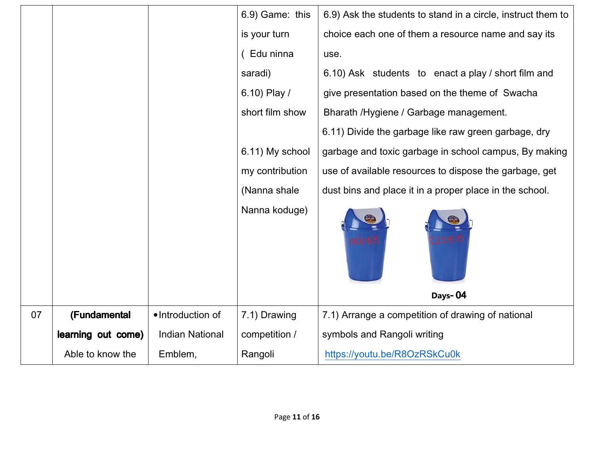|    |                    |                        | 6.9) Game: this | 6.9) Ask the students to stand in a circle, instruct them to |
|----|--------------------|------------------------|-----------------|--------------------------------------------------------------|
|    |                    |                        | is your turn    | choice each one of them a resource name and say its          |
|    |                    |                        | (Edu ninna      | use.                                                         |
|    |                    |                        | saradi)         | 6.10) Ask students to enact a play / short film and          |
|    |                    |                        | 6.10) Play /    | give presentation based on the theme of Swacha               |
|    |                    |                        | short film show | Bharath / Hygiene / Garbage management.                      |
|    |                    |                        |                 | 6.11) Divide the garbage like raw green garbage, dry         |
|    |                    |                        | 6.11) My school | garbage and toxic garbage in school campus, By making        |
|    |                    |                        | my contribution | use of available resources to dispose the garbage, get       |
|    |                    |                        | (Nanna shale    | dust bins and place it in a proper place in the school.      |
|    |                    |                        | Nanna koduge)   |                                                              |
|    |                    |                        |                 | Days-04                                                      |
| 07 | (Fundamental       | •Introduction of       | 7.1) Drawing    | 7.1) Arrange a competition of drawing of national            |
|    | learning out come) | <b>Indian National</b> | competition /   | symbols and Rangoli writing                                  |
|    | Able to know the   | Emblem,                | Rangoli         | https://youtu.be/R8OzRSkCu0k                                 |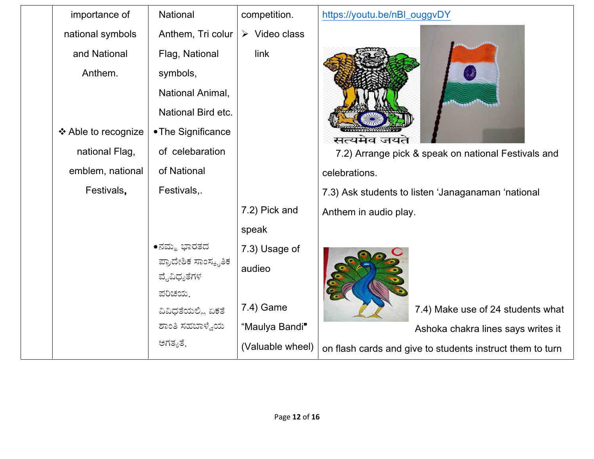| importance of       | National                            | competition.                 | https://youtu.be/nBl_ouggvDY                              |
|---------------------|-------------------------------------|------------------------------|-----------------------------------------------------------|
| national symbols    | Anthem, Tri colur                   | $\triangleright$ Video class |                                                           |
| and National        | Flag, National                      | link                         |                                                           |
| Anthem.             | symbols,                            |                              |                                                           |
|                     | National Animal,                    |                              |                                                           |
|                     | National Bird etc.                  |                              |                                                           |
| ❖ Able to recognize | • The Significance                  |                              | सत्यमेव जयते                                              |
| national Flag,      | of celebaration                     |                              | 7.2) Arrange pick & speak on national Festivals and       |
| emblem, national    | of National                         |                              | celebrations.                                             |
| Festivals,          | Festivals,.                         |                              | 7.3) Ask students to listen 'Janaganaman 'national        |
|                     |                                     | 7.2) Pick and                | Anthem in audio play.                                     |
|                     |                                     | speak                        |                                                           |
|                     | ∙ನಮ್ಮ ಭಾರತದ                         | 7.3) Usage of                |                                                           |
|                     | ಪ್ರಾದೇಶಿಕ ಸಾಂಸ್ಕೃತಿಕ<br>ವೈವಿಧ್ಯತೆಗಳ | audieo                       |                                                           |
|                     | ಪರಿಚಯ.                              |                              |                                                           |
|                     | ವಿವಿಧತೆಯಲ್ಲಿ ಏಕತೆ                   | 7.4) Game                    | 7.4) Make use of 24 students what                         |
|                     | ಶಾಂತಿ ಸಹಬಾಳ್ವೆಯ                     | "Maulya Bandi"               | Ashoka chakra lines says writes it                        |
|                     | ಅಗತ್ಯತೆ.                            | (Valuable wheel)             | on flash cards and give to students instruct them to turn |
|                     |                                     |                              |                                                           |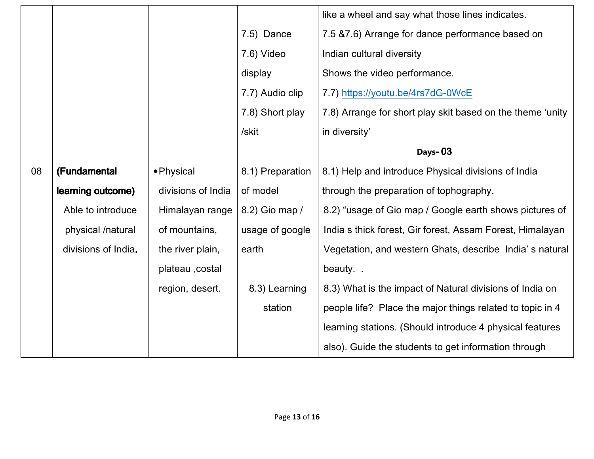|    |                     |                    |                  | like a wheel and say what those lines indicates.           |
|----|---------------------|--------------------|------------------|------------------------------------------------------------|
|    |                     |                    | 7.5) Dance       | 7.5 & 7.6) Arrange for dance performance based on          |
|    |                     |                    | 7.6) Video       | Indian cultural diversity                                  |
|    |                     |                    | display          | Shows the video performance.                               |
|    |                     |                    | 7.7) Audio clip  | 7.7) https://youtu.be/4rs7dG-0WcE                          |
|    |                     |                    | 7.8) Short play  | 7.8) Arrange for short play skit based on the theme 'unity |
|    |                     |                    | /skit            | in diversity'                                              |
|    |                     |                    |                  | Days-03                                                    |
| 08 | (Fundamental        | • Physical         | 8.1) Preparation | 8.1) Help and introduce Physical divisions of India        |
|    |                     |                    |                  |                                                            |
|    | learning outcome)   | divisions of India | of model         | through the preparation of tophography.                    |
|    | Able to introduce   | Himalayan range    | 8.2) Gio map /   | 8.2) "usage of Gio map / Google earth shows pictures of    |
|    | physical /natural   | of mountains,      | usage of google  | India s thick forest, Gir forest, Assam Forest, Himalayan  |
|    | divisions of India. | the river plain,   | earth            | Vegetation, and western Ghats, describe India's natural    |
|    |                     | plateau , costal   |                  | beauty                                                     |
|    |                     | region, desert.    | 8.3) Learning    | 8.3) What is the impact of Natural divisions of India on   |
|    |                     |                    | station          | people life? Place the major things related to topic in 4  |
|    |                     |                    |                  | learning stations. (Should introduce 4 physical features   |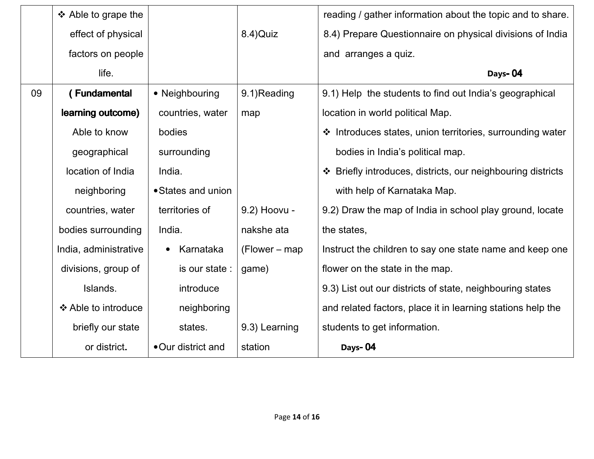|    | ❖ Able to grape the   |                    |                  | reading / gather information about the topic and to share.  |
|----|-----------------------|--------------------|------------------|-------------------------------------------------------------|
|    | effect of physical    |                    | 8.4) Quiz        | 8.4) Prepare Questionnaire on physical divisions of India   |
|    | factors on people     |                    |                  | and arranges a quiz.                                        |
|    | life.                 |                    |                  | Days-04                                                     |
| 09 | (Fundamental          | • Neighbouring     | 9.1)Reading      | 9.1) Help the students to find out India's geographical     |
|    | learning outcome)     | countries, water   | map              | location in world political Map.                            |
|    | Able to know          | bodies             |                  | ❖ Introduces states, union territories, surrounding water   |
|    | geographical          | surrounding        |                  | bodies in India's political map.                            |
|    | location of India     | India.             |                  | ❖ Briefly introduces, districts, our neighbouring districts |
|    | neighboring           | • States and union |                  | with help of Karnataka Map.                                 |
|    | countries, water      | territories of     | 9.2) Hoovu -     | 9.2) Draw the map of India in school play ground, locate    |
|    | bodies surrounding    | India.             | nakshe ata       | the states,                                                 |
|    | India, administrative | Karnataka          | $(Flower - map)$ | Instruct the children to say one state name and keep one    |
|    | divisions, group of   | is our state :     | game)            | flower on the state in the map.                             |
|    | Islands.              | introduce          |                  | 9.3) List out our districts of state, neighbouring states   |
|    | ❖ Able to introduce   | neighboring        |                  | and related factors, place it in learning stations help the |
|    | briefly our state     | states.            | 9.3) Learning    | students to get information.                                |
|    | or district.          | • Our district and | station          | Days-04                                                     |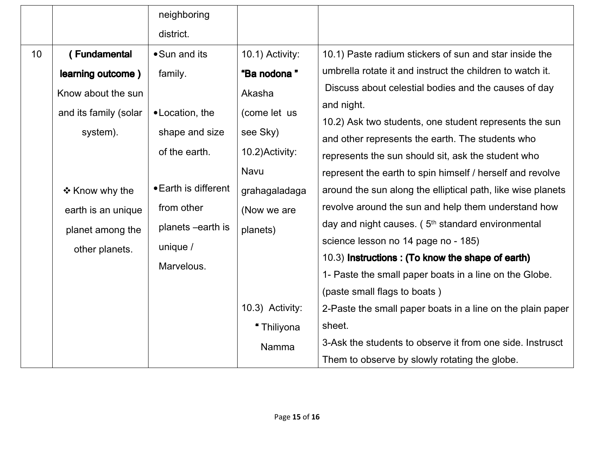|    |                       | neighboring          |                 |                                                               |
|----|-----------------------|----------------------|-----------------|---------------------------------------------------------------|
|    |                       | district.            |                 |                                                               |
| 10 | (Fundamental          | • Sun and its        | 10.1) Activity: | 10.1) Paste radium stickers of sun and star inside the        |
|    | learning outcome)     | family.              | "Ba nodona"     | umbrella rotate it and instruct the children to watch it.     |
|    | Know about the sun    |                      | Akasha          | Discuss about celestial bodies and the causes of day          |
|    | and its family (solar | • Location, the      | (come let us    | and night.                                                    |
|    |                       |                      |                 | 10.2) Ask two students, one student represents the sun        |
|    | system).              | shape and size       | see Sky)        | and other represents the earth. The students who              |
|    |                       | of the earth.        | 10.2) Activity: | represents the sun should sit, ask the student who            |
|    |                       |                      | Navu            | represent the earth to spin himself / herself and revolve     |
|    | ❖ Know why the        | • Earth is different | grahagaladaga   | around the sun along the elliptical path, like wise planets   |
|    | earth is an unique    | from other           | (Now we are     | revolve around the sun and help them understand how           |
|    | planet among the      | planets -earth is    | planets)        | day and night causes. (5 <sup>th</sup> standard environmental |
|    | other planets.        | unique $/$           |                 | science lesson no 14 page no - 185)                           |
|    |                       | Marvelous.           |                 | 10.3) Instructions: (To know the shape of earth)              |
|    |                       |                      |                 | 1- Paste the small paper boats in a line on the Globe.        |
|    |                       |                      |                 | (paste small flags to boats)                                  |
|    |                       |                      | 10.3) Activity: | 2-Paste the small paper boats in a line on the plain paper    |
|    |                       |                      | "Thiliyona      | sheet.                                                        |
|    |                       |                      | Namma           | 3-Ask the students to observe it from one side. Instrusct     |
|    |                       |                      |                 | Them to observe by slowly rotating the globe.                 |